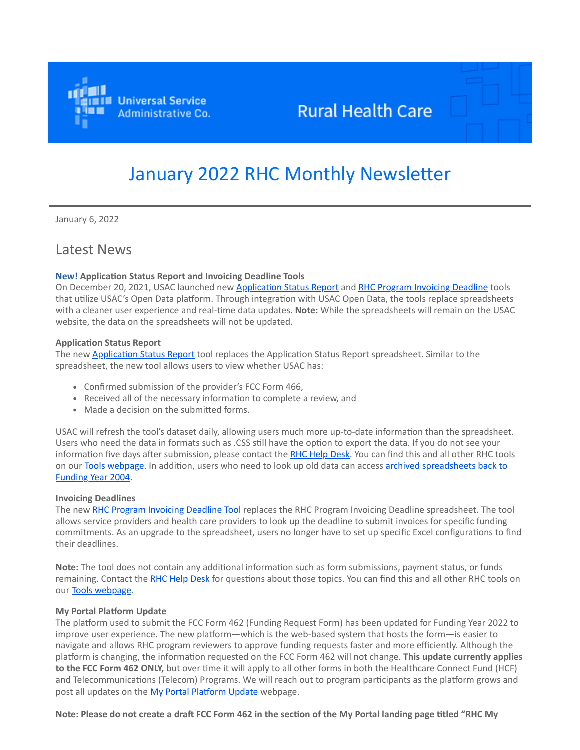

# **Rural Health Care**

# January 2022 RHC Monthly Newsletter

January 6, 2022

# Latest News

### **New! Application Status Report and Invoicing Deadline Tools**

On December 20, 2021, USAC launched new [Application Status Report](https://click.outreach.usac.org/?qs=20b00b00763e96d9776ba4b3c5c0050600e255eff477613dc2b4a1689e8c09de11a1fb3c493f64adcccc30bd79dd64c8d17d751528f9aa92) and [RHC Program Invoicing Deadline](https://click.outreach.usac.org/?qs=20b00b00763e96d9426a1c8fca5e2f112209a296ad6c1210cebe10452a58aed22e8b1bb4f3e0f2c0143c3b60a8d64c56e33c46055254ee08) tools that utilize USAC's Open Data platform. Through integration with USAC Open Data, the tools replace spreadsheets with a cleaner user experience and real-time data updates. **Note:** While the spreadsheets will remain on the USAC website, the data on the spreadsheets will not be updated.

#### **Application Status Report**

The new [Application Status Report](https://click.outreach.usac.org/?qs=20b00b00763e96d9776ba4b3c5c0050600e255eff477613dc2b4a1689e8c09de11a1fb3c493f64adcccc30bd79dd64c8d17d751528f9aa92) tool replaces the Application Status Report spreadsheet. Similar to the spreadsheet, the new tool allows users to view whether USAC has:

- Confirmed submission of the provider's FCC Form 466,
- Received all of the necessary information to complete a review, and
- Made a decision on the submitted forms.

USAC will refresh the tool's dataset daily, allowing users much more up-to-date information than the spreadsheet. Users who need the data in formats such as .CSS still have the option to export the data. If you do not see your information five days after submission, please contact the [RHC Help Desk.](mailto:RHC-Assist@USAC.org?subject=) You can find this and all other RHC tools on our [Tools webpage.](https://click.outreach.usac.org/?qs=20b00b00763e96d912ebd2de62a9f02621de9fd8a58464c9c4fa56a9edc57028ddc72a61d42c491de63c70621dad8719a48d517856da3515) [In addition, users who need to look up old data can access archived spreadsheets back to](https://click.outreach.usac.org/?qs=20b00b00763e96d9f516f3124de2d1c9e29a951b24465a4d03c3898166efa61e635785e2d6b20d221a468b649fa46b63a7933179e162d2da) Funding Year 2004.

### **Invoicing Deadlines**

The new [RHC Program Invoicing Deadline Tool](https://click.outreach.usac.org/?qs=20b00b00763e96d9805c6521d3e01166960063a74c36588c0d4740508998a63a4ddae3d2831b0371056e79ea0a981a78220ea8acdba55d92) replaces the RHC Program Invoicing Deadline spreadsheet. The tool allows service providers and health care providers to look up the deadline to submit invoices for specific funding commitments. As an upgrade to the spreadsheet, users no longer have to set up specific Excel configurations to find their deadlines.

**Note:** The tool does not contain any additional information such as form submissions, payment status, or funds remaining. Contact the [RHC Help Desk](mailto:RHC-Assist@usac.org?subject=) for questions about those topics. You can find this and all other RHC tools on our [Tools webpage](https://click.outreach.usac.org/?qs=20b00b00763e96d912ebd2de62a9f02621de9fd8a58464c9c4fa56a9edc57028ddc72a61d42c491de63c70621dad8719a48d517856da3515).

### **My Portal Platform Update**

The platform used to submit the FCC Form 462 (Funding Request Form) has been updated for Funding Year 2022 to improve user experience. The new platform—which is the web-based system that hosts the form—is easier to navigate and allows RHC program reviewers to approve funding requests faster and more efficiently. Although the platform is changing, the information requested on the FCC Form 462 will not change. **This update currently applies to the FCC Form 462 ONLY,** but over time it will apply to all other forms in both the Healthcare Connect Fund (HCF) and Telecommunications (Telecom) Programs. We will reach out to program participants as the platform grows and post all updates on the [My Portal Platform Update](https://click.outreach.usac.org/?qs=20b00b00763e96d9fbc028c3108807c3f2722e3764f275ad34c91f4fdd1683a904d1558d527dbeb4f38db3ae07694b3298f2318a19ce0041) webpage.

**Note: Please do not create a draft FCC Form 462 in the section of the My Portal landing page titled "RHC My**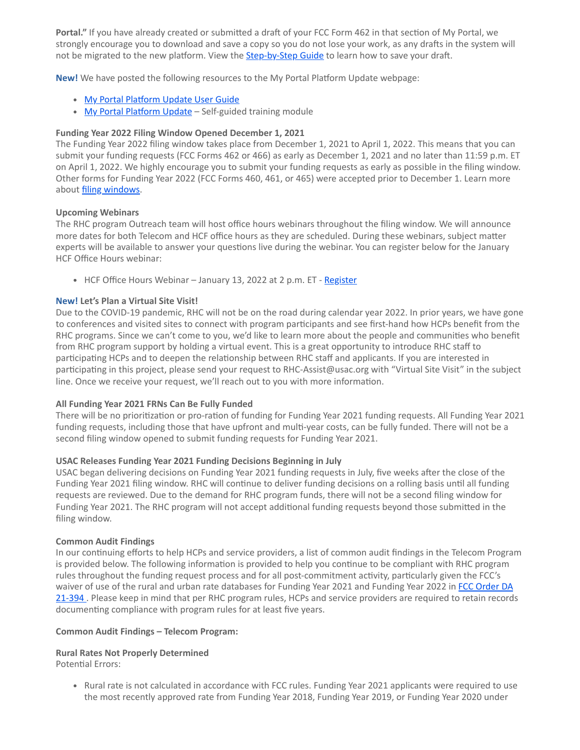**Portal."** If you have already created or submitted a draft of your FCC Form 462 in that section of My Portal, we strongly encourage you to download and save a copy so you do not lose your work, as any drafts in the system will not be migrated to the new platform. View the **[Step-by-Step Guide](https://click.outreach.usac.org/?qs=20b00b00763e96d92a509c2b55bbd4c4dfb198b72a279f802ff2f811b59e0f3e2a7d8b73e1fe504e63cc06926a15bf6aafe0c772717be3da)** to learn how to save your draft.

**New!** We have posted the following resources to the My Portal Platform Update webpage:

- [My Portal Platform Update User Guide](https://click.outreach.usac.org/?qs=20b00b00763e96d9cc3aba152db8577cdc4c87bf45eeca8e5e2517127de4d110fc27851f1eb955a3198cc1a73693ddb7fff0b55f8038e940)
- [My Portal Platform Update](https://click.outreach.usac.org/?qs=20b00b00763e96d9399ac0f6e5bda3441810cbaf899e6dfaa272f90bc067fbdb00e66368f5bd7e31f5b53b7345e4e0b1e0f934e85674b5fe)  Self-guided training module

### **Funding Year 2022 Filing Window Opened December 1, 2021**

The Funding Year 2022 filing window takes place from December 1, 2021 to April 1, 2022. This means that you can submit your funding requests (FCC Forms 462 or 466) as early as December 1, 2021 and no later than 11:59 p.m. ET on April 1, 2022. We highly encourage you to submit your funding requests as early as possible in the filing window. Other forms for Funding Year 2022 (FCC Forms 460, 461, or 465) were accepted prior to December 1. Learn more about *[filing windows](https://click.outreach.usac.org/?qs=20b00b00763e96d919f2314c9b1738536868d80fc8eefb725c284a7ebcb58adc062ef42235610615ba84e871f734499fba8119d28ca46271)*.

### **Upcoming Webinars**

The RHC program Outreach team will host office hours webinars throughout the filing window. We will announce more dates for both Telecom and HCF office hours as they are scheduled. During these webinars, subject matter experts will be available to answer your questions live during the webinar. You can register below for the January HCF Office Hours webinar:

• HCF Office Hours Webinar - January 13, 2022 at 2 p.m. ET - [Register](https://click.outreach.usac.org/?qs=20b00b00763e96d9b51e84ca13e5a8d407694e9e8fb22c799a80d101152f86d2773d26c2024695915025b39f7ef526dae06d2ab0cf16fe3e)

### **New! Let's Plan a Virtual Site Visit!**

Due to the COVID-19 pandemic, RHC will not be on the road during calendar year 2022. In prior years, we have gone to conferences and visited sites to connect with program participants and see first-hand how HCPs benefit from the RHC programs. Since we can't come to you, we'd like to learn more about the people and communities who benefit from RHC program support by holding a virtual event. This is a great opportunity to introduce RHC staff to participating HCPs and to deepen the relationship between RHC staff and applicants. If you are interested in participating in this project, please send your request to RHC-Assist@usac.org with "Virtual Site Visit" in the subject line. Once we receive your request, we'll reach out to you with more information.

### **All Funding Year 2021 FRNs Can Be Fully Funded**

There will be no prioritization or pro-ration of funding for Funding Year 2021 funding requests. All Funding Year 2021 funding requests, including those that have upfront and multi-year costs, can be fully funded. There will not be a second filing window opened to submit funding requests for Funding Year 2021.

### **USAC Releases Funding Year 2021 Funding Decisions Beginning in July**

USAC began delivering decisions on Funding Year 2021 funding requests in July, five weeks after the close of the Funding Year 2021 filing window. RHC will continue to deliver funding decisions on a rolling basis until all funding requests are reviewed. Due to the demand for RHC program funds, there will not be a second filing window for Funding Year 2021. The RHC program will not accept additional funding requests beyond those submitted in the filing window.

### **Common Audit Findings**

In our continuing efforts to help HCPs and service providers, a list of common audit findings in the Telecom Program is provided below. The following information is provided to help you continue to be compliant with RHC program rules throughout the funding request process and for all post-commitment activity, particularly given the FCC's [waiver of use of the rural and urban rate databases for Funding Year 2021 and Funding Year 2022 in FCC Order DA](https://click.outreach.usac.org/?qs=20b00b00763e96d960bc7ae1d6f1693f2338c5a15d918f006c4ed99dddca485707a15fab6944da07c0657d9a63dad1edca7b7c616d884382) 21-394. Please keep in mind that per RHC program rules, HCPs and service providers are required to retain records documenting compliance with program rules for at least five years.

### **Common Audit Findings – Telecom Program:**

# **Rural Rates Not Properly Determined**

Potential Errors:

Rural rate is not calculated in accordance with FCC rules. Funding Year 2021 applicants were required to use the most recently approved rate from Funding Year 2018, Funding Year 2019, or Funding Year 2020 under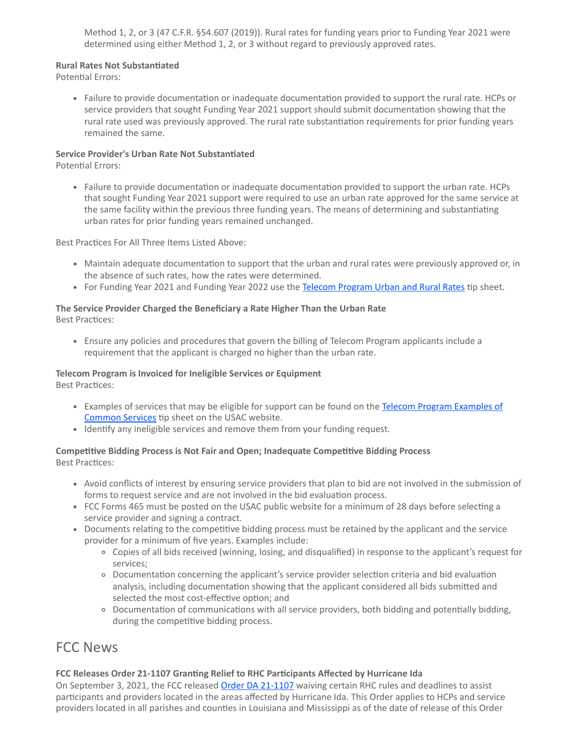Method 1, 2, or 3 (47 C.F.R. §54.607 (2019)). Rural rates for funding years prior to Funding Year 2021 were determined using either Method 1, 2, or 3 without regard to previously approved rates.

### **Rural Rates Not Substantiated**

Potential Errors:

Failure to provide documentation or inadequate documentation provided to support the rural rate. HCPs or service providers that sought Funding Year 2021 support should submit documentation showing that the rural rate used was previously approved. The rural rate substantiation requirements for prior funding years remained the same.

### **Service Provider's Urban Rate Not Substantiated**

Potential Errors:

Failure to provide documentation or inadequate documentation provided to support the urban rate. HCPs that sought Funding Year 2021 support were required to use an urban rate approved for the same service at the same facility within the previous three funding years. The means of determining and substantiating urban rates for prior funding years remained unchanged.

Best Practices For All Three Items Listed Above:

- Maintain adequate documentation to support that the urban and rural rates were previously approved or, in the absence of such rates, how the rates were determined.
- For Funding Year 2021 and Funding Year 2022 use the [Telecom Program Urban and Rural Rates](https://click.outreach.usac.org/?qs=20b00b00763e96d94b04978ce3f5368f02d7aaf41665bbaac430c23237e6162df5f417204fc125d98b1d80602a72d0b055ee71f77ad1b248) tip sheet.

# **The Service Provider Charged the Beneficiary a Rate Higher Than the Urban Rate**

Best Practices:

Ensure any policies and procedures that govern the billing of Telecom Program applicants include a requirement that the applicant is charged no higher than the urban rate.

# **Telecom Program is Invoiced for Ineligible Services or Equipment**

Best Practices:

- [Examples of services that may be eligible for support can be found on the Telecom Program Examples of](https://click.outreach.usac.org/?qs=20b00b00763e96d99e757b160ef51f9a4c3536f02c96b58080937f50a74dbbe64decfc6b127c4b5d34a1dc29a2bde4fb00f590c65ab59912) Common Services tip sheet on the USAC website.
- Identify any ineligible services and remove them from your funding request.

# **Competitive Bidding Process is Not Fair and Open; Inadequate Competitive Bidding Process** Best Practices:

- Avoid conflicts of interest by ensuring service providers that plan to bid are not involved in the submission of forms to request service and are not involved in the bid evaluation process.
- FCC Forms 465 must be posted on the USAC public website for a minimum of 28 days before selecting a service provider and signing a contract.
- Documents relating to the competitive bidding process must be retained by the applicant and the service provider for a minimum of five years. Examples include:
	- Copies of all bids received (winning, losing, and disqualified) in response to the applicant's request for services;
	- Documentation concerning the applicant's service provider selection criteria and bid evaluation analysis, including documentation showing that the applicant considered all bids submitted and selected the most cost-effective option; and
	- Documentation of communications with all service providers, both bidding and potentially bidding, during the competitive bidding process.

# FCC News

# **FCC Releases Order 21-1107 Granting Relief to RHC Participants Affected by Hurricane Ida**

On September 3, 2021, the FCC released [Order DA 21-1107](https://click.outreach.usac.org/?qs=20b00b00763e96d94f66cd767c9ebc2e69ff3f35ca02a5f853844058f93e0be5715146bf50ae3dfc94a43d05039ec6cf4a13d43250c5f9bf) waiving certain RHC rules and deadlines to assist participants and providers located in the areas affected by Hurricane Ida. This Order applies to HCPs and service providers located in all parishes and counties in Louisiana and Mississippi as of the date of release of this Order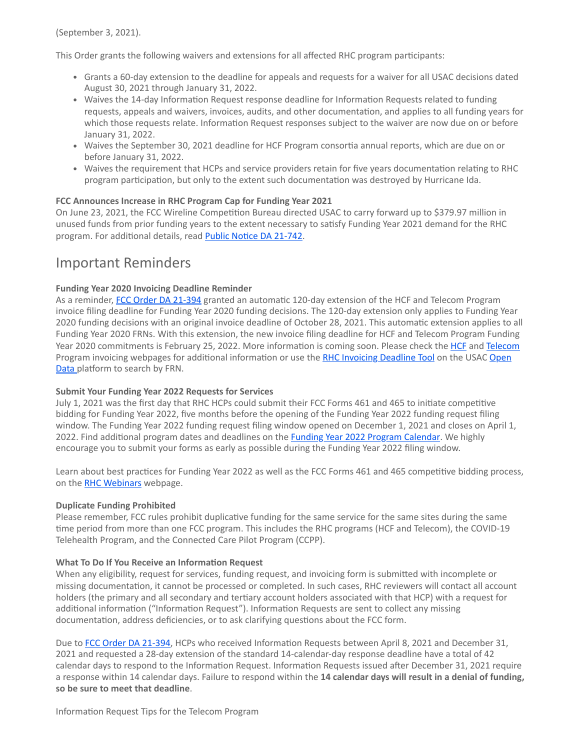(September 3, 2021).

This Order grants the following waivers and extensions for all affected RHC program participants:

- Grants a 60-day extension to the deadline for appeals and requests for a waiver for all USAC decisions dated August 30, 2021 through January 31, 2022.
- Waives the 14-day Information Request response deadline for Information Requests related to funding requests, appeals and waivers, invoices, audits, and other documentation, and applies to all funding years for which those requests relate. Information Request responses subject to the waiver are now due on or before January 31, 2022.
- Waives the September 30, 2021 deadline for HCF Program consortia annual reports, which are due on or before January 31, 2022.
- Waives the requirement that HCPs and service providers retain for five years documentation relating to RHC program participation, but only to the extent such documentation was destroyed by Hurricane Ida.

### **FCC Announces Increase in RHC Program Cap for Funding Year 2021**

On June 23, 2021, the FCC Wireline Competition Bureau directed USAC to carry forward up to \$379.97 million in unused funds from prior funding years to the extent necessary to satisfy Funding Year 2021 demand for the RHC program. For additional details, read [Public Notice DA 21-742](https://click.outreach.usac.org/?qs=20b00b00763e96d923fe1b6b75b153b7f782f64d79604a5eb638aa44654761b116d33584acc9eb856c6edd07502c45b1c489fcec451f0492).

# Important Reminders

### **Funding Year 2020 Invoicing Deadline Reminder**

As a reminder, [FCC Order DA 21-394](https://click.outreach.usac.org/?qs=20b00b00763e96d9eb8c8976dc8d366f720532f8f57334980fb3595ac6cb7f739d8625f47d191ce633293a9ddc156357e02593326e940b3b) granted an automatic 120-day extension of the HCF and Telecom Program invoice filing deadline for Funding Year 2020 funding decisions. The 120-day extension only applies to Funding Year 2020 funding decisions with an original invoice deadline of October 28, 2021. This automatic extension applies to all Funding Year 2020 FRNs. With this extension, the new invoice filing deadline for HCF and Telecom Program Funding Year 2020 commitments is February 25, 2022. More information is coming soon. Please check the [HCF](https://click.outreach.usac.org/?qs=20b00b00763e96d993bb2129f0d4f98b01a6373ec3ec79da36b7d4f6906ae8199a2ccd0bbcbc34e6e611e8e81a7014f37427359cfcc0aaae) and [Telecom](https://click.outreach.usac.org/?qs=20b00b00763e96d96c272da69c65b7397eb1d3144fdf3f03cfe111a8cb5e6c74c9dfbe7bae59f818af2987f9aa33c39c1a619d07bd674f2d) [Program invoicing webpages for additional information or use the R](https://click.outreach.usac.org/?qs=20b00b00763e96d9046d33a1d427f409fc991f69b753b272ca540c53d262617e17f14e988a3aa4b09603e9d5377cc42958685d3de6673fbf)[HC Invoicing Deadline Tool](https://click.outreach.usac.org/?qs=20b00b00763e96d95c97d01c6c0813c20717580f3d6a449fb7041a779c683f53421360f121f8d2a99e6bca6d36152eca4d9362bb4a1dc4a8) [on the USAC Open](https://click.outreach.usac.org/?qs=20b00b00763e96d9046d33a1d427f409fc991f69b753b272ca540c53d262617e17f14e988a3aa4b09603e9d5377cc42958685d3de6673fbf) Data platform to search by FRN.

### **Submit Your Funding Year 2022 Requests for Services**

July 1, 2021 was the first day that RHC HCPs could submit their FCC Forms 461 and 465 to initiate competitive bidding for Funding Year 2022, five months before the opening of the Funding Year 2022 funding request filing window. The Funding Year 2022 funding request filing window opened on December 1, 2021 and closes on April 1, 2022. Find additional program dates and deadlines on the **Funding Year 2022 Program Calendar**. We highly encourage you to submit your forms as early as possible during the Funding Year 2022 filing window.

Learn about best practices for Funding Year 2022 as well as the FCC Forms 461 and 465 competitive bidding process, on the [RHC Webinars](https://click.outreach.usac.org/?qs=20b00b00763e96d99b8567e1d7f9c64c12446117a5036d3a6249326a9b10eeda6f65026e19f95b72ebbf4ca466f18792d530c61401a6c40d) webpage.

### **Duplicate Funding Prohibited**

Please remember, FCC rules prohibit duplicative funding for the same service for the same sites during the same time period from more than one FCC program. This includes the RHC programs (HCF and Telecom), the COVID-19 Telehealth Program, and the Connected Care Pilot Program (CCPP).

### **What To Do If You Receive an Information Request**

When any eligibility, request for services, funding request, and invoicing form is submitted with incomplete or missing documentation, it cannot be processed or completed. In such cases, RHC reviewers will contact all account holders (the primary and all secondary and tertiary account holders associated with that HCP) with a request for additional information ("Information Request"). Information Requests are sent to collect any missing documentation, address deficiencies, or to ask clarifying questions about the FCC form.

Due to [FCC Order DA 21-394](https://click.outreach.usac.org/?qs=20b00b00763e96d9eb8c8976dc8d366f720532f8f57334980fb3595ac6cb7f739d8625f47d191ce633293a9ddc156357e02593326e940b3b), HCPs who received Information Requests between April 8, 2021 and December 31, 2021 and requested a 28-day extension of the standard 14-calendar-day response deadline have a total of 42 calendar days to respond to the Information Request. Information Requests issued after December 31, 2021 require a response within 14 calendar days. Failure to respond within the **14 calendar days will result in a denial of funding, so be sure to meet that deadline**.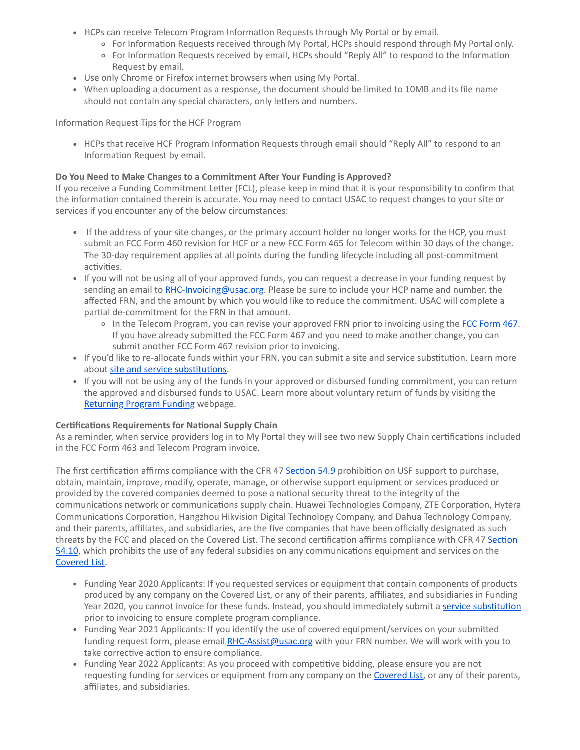- HCPs can receive Telecom Program Information Requests through My Portal or by email.
	- For Information Requests received through My Portal, HCPs should respond through My Portal only.
	- For Information Requests received by email, HCPs should "Reply All" to respond to the Information Request by email.
- Use only Chrome or Firefox internet browsers when using My Portal.
- When uploading a document as a response, the document should be limited to 10MB and its file name should not contain any special characters, only letters and numbers.

Information Request Tips for the HCF Program

• HCPs that receive HCF Program Information Requests through email should "Reply All" to respond to an Information Request by email.

# **Do You Need to Make Changes to a Commitment After Your Funding is Approved?**

If you receive a Funding Commitment Letter (FCL), please keep in mind that it is your responsibility to confirm that the information contained therein is accurate. You may need to contact USAC to request changes to your site or services if you encounter any of the below circumstances:

- If the address of your site changes, or the primary account holder no longer works for the HCP, you must submit an FCC Form 460 revision for HCF or a new FCC Form 465 for Telecom within 30 days of the change. The 30-day requirement applies at all points during the funding lifecycle including all post-commitment activities.
- If you will not be using all of your approved funds, you can request a decrease in your funding request by sending an email to [RHC-Invoicing@usac.org.](mailto:RHC-Invoicing@usac.org?subject=) Please be sure to include your HCP name and number, the affected FRN, and the amount by which you would like to reduce the commitment. USAC will complete a partial de-commitment for the FRN in that amount.
	- o In the Telecom Program, you can revise your approved FRN prior to invoicing using the [FCC Form 467](https://click.outreach.usac.org/?qs=20b00b00763e96d9be59e65630d97002b1f0dc4968f58de678b49213f503f503e31ec2737cbc85353ebf80359b4df3aed4143c67820ddd0e). If you have already submitted the FCC Form 467 and you need to make another change, you can submit another FCC Form 467 revision prior to invoicing.
- If you'd like to re-allocate funds within your FRN, you can submit a site and service substitution. Learn more about [site and service substitutions.](https://click.outreach.usac.org/?qs=20b00b00763e96d9476233255aa3fb785f58fc7bcd182bf238a572a8c6cf68c64856367c082871c81eda02d85add6adeecf4a969e4432776)
- If you will not be using any of the funds in your approved or disbursed funding commitment, you can return the approved and disbursed funds to USAC. Learn more about voluntary return of funds by visiting the [Returning Program Funding](https://click.outreach.usac.org/?qs=20b00b00763e96d9decd65ae107beca70da53c8fc4be962a12902ba67af3f1c48926d241b0b6df1ebecdae54b1d58c467242399844c43ef5) webpage.

# **Certifications Requirements for National Supply Chain**

As a reminder, when service providers log in to My Portal they will see two new Supply Chain certifications included in the FCC Form 463 and Telecom Program invoice.

The first certification affirms compliance with the CFR 47 [Section 54.9](https://click.outreach.usac.org/?qs=20b00b00763e96d94010a1dc95bbb71ff8f2926e941be70758e46f2a65686fff073924850b38479b414c7ffbbbbdd2549bd6dcfad963f291) prohibition on USF support to purchase, obtain, maintain, improve, modify, operate, manage, or otherwise support equipment or services produced or provided by the covered companies deemed to pose a national security threat to the integrity of the communications network or communications supply chain. Huawei Technologies Company, ZTE Corporation, Hytera Communications Corporation, Hangzhou Hikvision Digital Technology Company, and Dahua Technology Company, and their parents, affiliates, and subsidiaries, are the five companies that have been officially designated as such [threats by the FCC and placed on the Covered List. The second certification affirms compliance with CFR 47 Section](https://click.outreach.usac.org/?qs=20b00b00763e96d9fbe199216f7ce038b58ca612862bed750cae849e8e14fc0be5123d4df17459b801f4041194eacc7db876e05cafabe425) 54.10, which prohibits the use of any federal subsidies on any communications equipment and services on the [Covered List.](https://click.outreach.usac.org/?qs=20b00b00763e96d967b2dfe6b8866d1b1a8676e4f0489f64dba388244ec6c5ab126a6afc4e01e1108513907a76ac3b04b0f200525c6d66e9)

- Funding Year 2020 Applicants: If you requested services or equipment that contain components of products produced by any company on the Covered List, or any of their parents, affiliates, and subsidiaries in Funding Year 2020, you cannot invoice for these funds. Instead, you should immediately submit a [service substitution](https://click.outreach.usac.org/?qs=20b00b00763e96d9f66319aa61cbbccabdbd2e34e828b6640686e84a13c55438f4a5c330687ab122eae729a79cbbcc3d83cc06fca8dbf9e1) prior to invoicing to ensure complete program compliance.
- Funding Year 2021 Applicants: If you identify the use of covered equipment/services on your submitted funding request form, please email [RHC-Assist@usac.org](mailto:RHC-Assist@usac.org?subject=) with your FRN number. We will work with you to take corrective action to ensure compliance.
- Funding Year 2022 Applicants: As you proceed with competitive bidding, please ensure you are not requesting funding for services or equipment from any company on the [Covered List](https://click.outreach.usac.org/?qs=20b00b00763e96d967b2dfe6b8866d1b1a8676e4f0489f64dba388244ec6c5ab126a6afc4e01e1108513907a76ac3b04b0f200525c6d66e9), or any of their parents, affiliates, and subsidiaries.